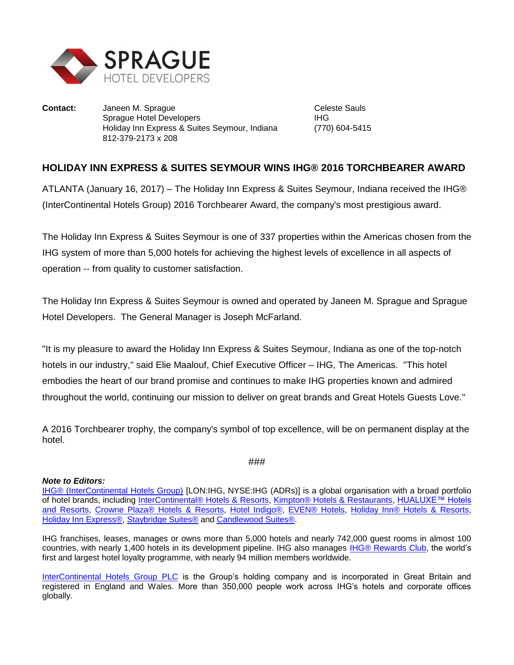

**Contact:** Janeen M. Sprague **Contact:** Celeste Sauls Sprague Hotel Developers **IHG** Holiday Inn Express & Suites Seymour, Indiana (770) 604-5415 812-379-2173 x 208

## **HOLIDAY INN EXPRESS & SUITES SEYMOUR WINS IHG® 2016 TORCHBEARER AWARD**

ATLANTA (January 16, 2017) – The Holiday Inn Express & Suites Seymour, Indiana received the IHG® (InterContinental Hotels Group) 2016 Torchbearer Award, the company's most prestigious award.

The Holiday Inn Express & Suites Seymour is one of 337 properties within the Americas chosen from the IHG system of more than 5,000 hotels for achieving the highest levels of excellence in all aspects of operation -- from quality to customer satisfaction.

The Holiday Inn Express & Suites Seymour is owned and operated by Janeen M. Sprague and Sprague Hotel Developers. The General Manager is Joseph McFarland.

"It is my pleasure to award the Holiday Inn Express & Suites Seymour, Indiana as one of the top-notch hotels in our industry," said Elie Maalouf, Chief Executive Officer – IHG, The Americas. "This hotel embodies the heart of our brand promise and continues to make IHG properties known and admired throughout the world, continuing our mission to deliver on great brands and Great Hotels Guests Love."

A 2016 Torchbearer trophy, the company's symbol of top excellence, will be on permanent display at the hotel.

###

## *Note to Editors:*

[IHG® \(InterContinental Hotels Group\)](http://www.ihgplc.com/index.asp) [LON:IHG, NYSE:IHG (ADRs)] is a global organisation with a broad portfolio of hotel brands, including [InterContinental® Hotels & Resorts,](http://www.intercontinental.com/hotels/gb/en/reservation) [Kimpton® Hotels & Restaurants,](https://www.kimptonhotels.com/) [HUALUXE™ Hotels](http://cn.ihg.com/hualuxe?scmisc=header_vn)  [and Resorts,](http://cn.ihg.com/hualuxe?scmisc=header_vn) [Crowne Plaza® Hotels & Resorts,](http://www.ihg.com/crowneplaza/hotels/gb/en/reservation) [Hotel Indigo®,](http://www.ihg.com/hotelindigo/hotels/us/en/reservation) [EVEN® Hotels,](http://www.ihg.com/evenhotels/hotels/us/en/reservation) [Holiday Inn® Hotels & Resorts,](http://www.ihg.com/holidayinn/hotels/gb/en/reservation) [Holiday Inn Express®,](http://www.ihg.com/holidayinnexpress/hotels/gb/en/reservation) [Staybridge Suites®](http://www.ihg.com/staybridge/hotels/gb/en/reservation) and [Candlewood Suites®.](http://www.ihg.com/candlewood/hotels/us/en/reservation)

IHG franchises, leases, manages or owns more than 5,000 hotels and nearly 742,000 guest rooms in almost 100 countries, with nearly 1,400 hotels in its development pipeline. IHG also manages **IHG® Rewards Club**, the world's first and largest hotel loyalty programme, with nearly 94 million members worldwide.

[InterContinental Hotels Group PLC](http://www.ihgplc.com/index.asp) is the Group's holding company and is incorporated in Great Britain and registered in England and Wales. More than 350,000 people work across IHG's hotels and corporate offices globally.